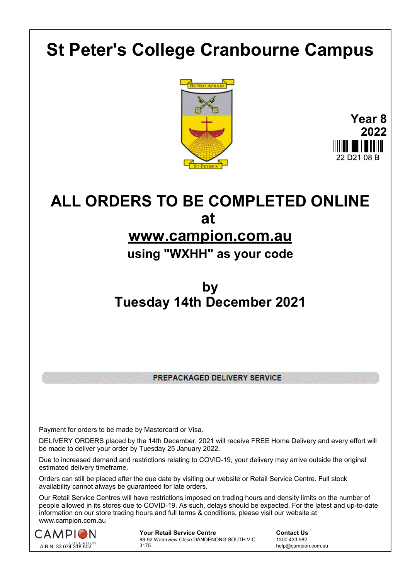# **St Peter's College Cranbourne Campus**





# **ALL ORDERS TO BE COMPLETED ONLINE at**

### **www.campion.com.au**

#### **using "WXHH" as your code**

### **by Tuesday 14th December 2021**

PREPACKAGED DELIVERY SERVICE

Payment for orders to be made by Mastercard or Visa.

DELIVERY ORDERS placed by the 14th December, 2021 will receive FREE Home Delivery and every effort will be made to deliver your order by Tuesday 25 January 2022.

Due to increased demand and restrictions relating to COVID-19, your delivery may arrive outside the original estimated delivery timeframe.

Orders can still be placed after the due date by visiting our website or Retail Service Centre. Full stock availability cannot always be guaranteed for late orders.

Our Retail Service Centres will have restrictions imposed on trading hours and density limits on the number of people allowed in its stores due to COVID-19. As such, delays should be expected. For the latest and up-to-date information on our store trading hours and full terms & conditions, please visit our website at www.campion.com.au



**Your Retail Service Centre Contact Us** 88-92 Waterview Close DANDENONG SOUTH VIC 3175

1300 433 982 help@campion.com.au